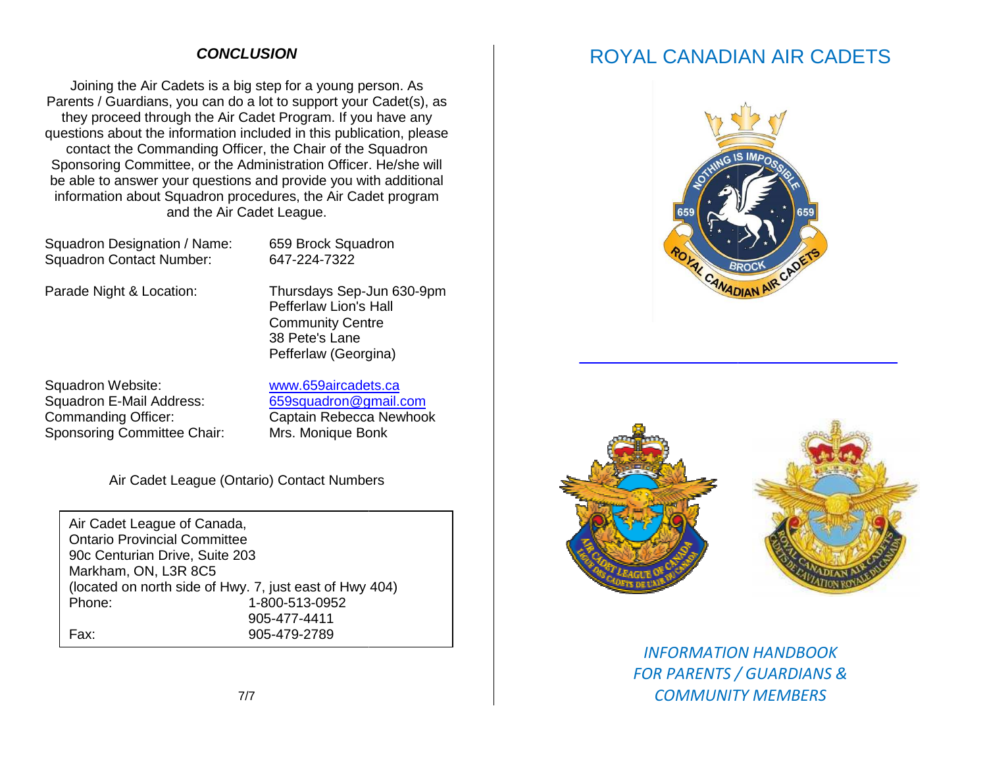#### **CONCLUSION**

Joining the Air Cadets is a big step for a young person. As Joining the Air Cadets is a big step for a young person. As<br>Parents / Guardians, you can do a lot to support your Cadet(s), as they proceed through the Air Cadet Program. If you have any they proceed through the Air Cadet Program. If you have any<br>questions about the information included in this publication, please contact the Commanding Officer, the Chair of the Squadron Sponsoring Committee, or the Administration Officer. He/she will be able to answer your questions and provide you with additional information about Squadron procedures, the Air Cadet program and the Air Cadet League. quadron procedures, 659 Jun 630-9pm

Squadron Designation / Name: 659 Brock SquadronSquadron Contact Number: 647-224-7322

Parade Night & Location: Thursdays Sep-Jun 630-9pm

Pefferlaw Lion's Hall Community Centre38 Pete's Lane Pefferlaw (Georgina)Pefferlaw Lion's Hall<br>Community Centre<br>38 Pete's Lane<br>Pefferlaw (Georgina)<br><u>www.659aircadets.ca</u><br>659squadron@gmail.com

Squadron Website: www.659aircadets.caSquadron E-Mail Address:<br>Commanding Officer: Commanding Officer: Captain Rebecca Newhook Sponsoring Committee Chair: Mrs. Monique Bonk

Air Cadet League (Ontario) Contact Numbers

Air Cadet League of Canada, Ontario Provincial Committee 90c Centurian Drive, Suite 203 Markham, ON, L3R 8C5 (located on north side of Hwy. 7, just east of Hwy 404) Phone: 1-800-513-0952 905-477-4411 Fax: 905-479-2789





*INFORMATION HANDBOOK FOR PARENTS / GUARDIANS &COMMUNITY MEMBERS*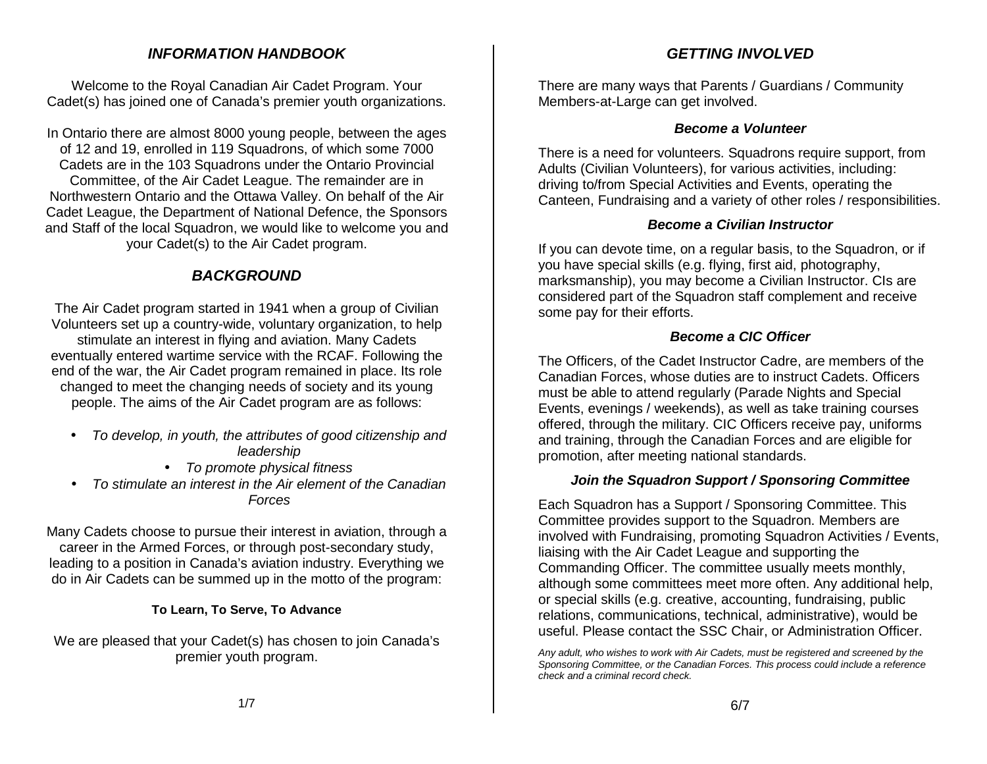### **INFORMATION HANDBOOK**

Welcome to the Royal Canadian Air Cadet Program. Your Cadet(s) has joined one of Canada's premier youth organizations.

In Ontario there are almost 8000 young people, between the ages of 12 and 19, enrolled in 119 Squadrons, of which some 7000 Cadets are in the 103 Squadrons under the Ontario Provincial Committee, of the Air Cadet League. The remainder are in Northwestern Ontario and the Ottawa Valley. On behalf of the Air Cadet League, the Department of National Defence, the Sponsors and Staff of the local Squadron, we would like to welcome you and your Cadet(s) to the Air Cadet program.

# **BACKGROUND**

The Air Cadet program started in 1941 when a group of Civilian Volunteers set up a country-wide, voluntary organization, to help stimulate an interest in flying and aviation. Many Cadets eventually entered wartime service with the RCAF. Following the end of the war, the Air Cadet program remained in place. Its role changed to meet the changing needs of society and its young people. The aims of the Air Cadet program are as follows:

- • To develop, in youth, the attributes of good citizenship and leadership
	- To promote physical fitness
- • To stimulate an interest in the Air element of the Canadian Forces

Many Cadets choose to pursue their interest in aviation, through a career in the Armed Forces, or through post-secondary study, leading to a position in Canada's aviation industry. Everything we do in Air Cadets can be summed up in the motto of the program:

### **To Learn, To Serve, To Advance**

We are pleased that your Cadet(s) has chosen to join Canada's premier youth program.

# **GETTING INVOLVED**

There are many ways that Parents / Guardians / Community Members-at-Large can get involved.

#### **Become a Volunteer**

There is a need for volunteers. Squadrons require support, from Adults (Civilian Volunteers), for various activities, including: driving to/from Special Activities and Events, operating the Canteen, Fundraising and a variety of other roles / responsibilities.

#### **Become a Civilian Instructor**

If you can devote time, on a regular basis, to the Squadron, or if you have special skills (e.g. flying, first aid, photography, marksmanship), you may become a Civilian Instructor. CIs are considered part of the Squadron staff complement and receive some pay for their efforts.

### **Become a CIC Officer**

The Officers, of the Cadet Instructor Cadre, are members of the Canadian Forces, whose duties are to instruct Cadets. Officers must be able to attend regularly (Parade Nights and Special Events, evenings / weekends), as well as take training courses offered, through the military. CIC Officers receive pay, uniforms and training, through the Canadian Forces and are eligible for promotion, after meeting national standards.

### **Join the Squadron Support / Sponsoring Committee**

Each Squadron has a Support / Sponsoring Committee. This Committee provides support to the Squadron. Members are involved with Fundraising, promoting Squadron Activities / Events, liaising with the Air Cadet League and supporting the Commanding Officer. The committee usually meets monthly, although some committees meet more often. Any additional help, or special skills (e.g. creative, accounting, fundraising, public relations, communications, technical, administrative), would be useful. Please contact the SSC Chair, or Administration Officer.

Any adult, who wishes to work with Air Cadets, must be registered and screened by the Sponsoring Committee, or the Canadian Forces. This process could include a reference check and a criminal record check.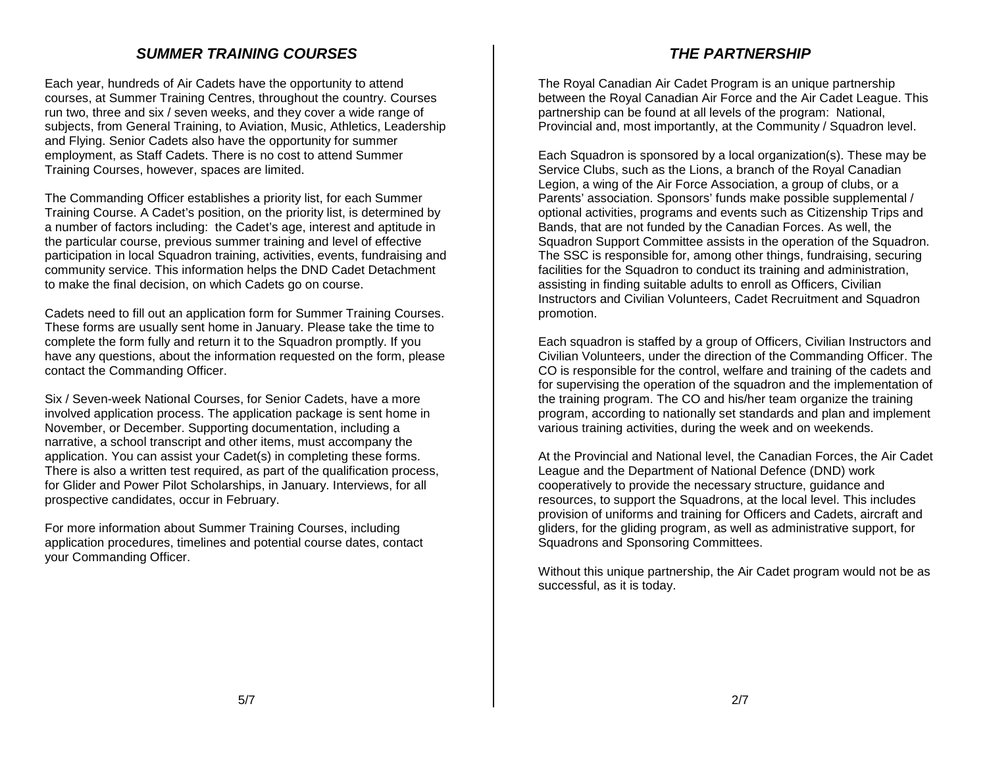#### **SUMMER TRAINING COURSES**

Each year, hundreds of Air Cadets have the opportunity to attend courses, at Summer Training Centres, throughout the country. Courses run two, three and six / seven weeks, and they cover a wide range of subjects, from General Training, to Aviation, Music, Athletics, Leadership and Flying. Senior Cadets also have the opportunity for summer employment, as Staff Cadets. There is no cost to attend Summer Training Courses, however, spaces are limited.

The Commanding Officer establishes a priority list, for each Summer Training Course. A Cadet's position, on the priority list, is determined by a number of factors including: the Cadet's age, interest and aptitude in the particular course, previous summer training and level of effective participation in local Squadron training, activities, events, fundraising and community service. This information helps the DND Cadet Detachment to make the final decision, on which Cadets go on course.

Cadets need to fill out an application form for Summer Training Courses. These forms are usually sent home in January. Please take the time to complete the form fully and return it to the Squadron promptly. If you have any questions, about the information requested on the form, please contact the Commanding Officer.

Six / Seven-week National Courses, for Senior Cadets, have a more involved application process. The application package is sent home in November, or December. Supporting documentation, including a narrative, a school transcript and other items, must accompany the application. You can assist your Cadet(s) in completing these forms. There is also a written test required, as part of the qualification process, for Glider and Power Pilot Scholarships, in January. Interviews, for all prospective candidates, occur in February.

For more information about Summer Training Courses, including application procedures, timelines and potential course dates, contact your Commanding Officer.

## **THE PARTNERSHIP**

The Royal Canadian Air Cadet Program is an unique partnership between the Royal Canadian Air Force and the Air Cadet League. This partnership can be found at all levels of the program: National, Provincial and, most importantly, at the Community / Squadron level.

Each Squadron is sponsored by a local organization(s). These may be Service Clubs, such as the Lions, a branch of the Royal Canadian Legion, a wing of the Air Force Association, a group of clubs, or a Parents' association. Sponsors' funds make possible supplemental / optional activities, programs and events such as Citizenship Trips and Bands, that are not funded by the Canadian Forces. As well, the Squadron Support Committee assists in the operation of the Squadron. The SSC is responsible for, among other things, fundraising, securing facilities for the Squadron to conduct its training and administration, assisting in finding suitable adults to enroll as Officers, Civilian Instructors and Civilian Volunteers, Cadet Recruitment and Squadron promotion.

Each squadron is staffed by a group of Officers, Civilian Instructors and Civilian Volunteers, under the direction of the Commanding Officer. The CO is responsible for the control, welfare and training of the cadets and for supervising the operation of the squadron and the implementation of the training program. The CO and his/her team organize the training program, according to nationally set standards and plan and implement various training activities, during the week and on weekends.

At the Provincial and National level, the Canadian Forces, the Air Cadet League and the Department of National Defence (DND) work cooperatively to provide the necessary structure, guidance and resources, to support the Squadrons, at the local level. This includes provision of uniforms and training for Officers and Cadets, aircraft and gliders, for the gliding program, as well as administrative support, for Squadrons and Sponsoring Committees.

Without this unique partnership, the Air Cadet program would not be as successful, as it is today.